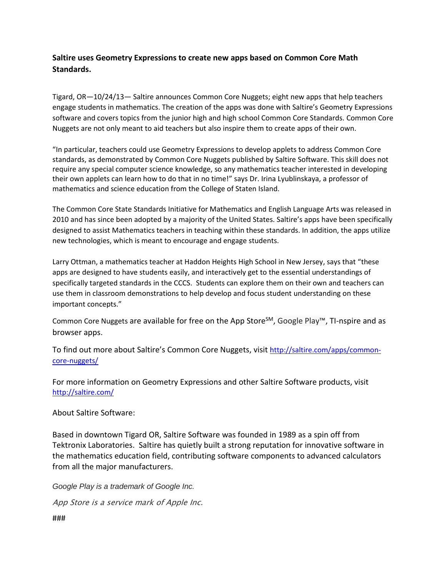## **Saltire uses Geometry Expressions to create new apps based on Common Core Math Standards.**

Tigard, OR—10/24/13— Saltire announces Common Core Nuggets; eight new apps that help teachers engage students in mathematics. The creation of the apps was done with Saltire's Geometry Expressions software and covers topics from the junior high and high school Common Core Standards. Common Core Nuggets are not only meant to aid teachers but also inspire them to create apps of their own.

"In particular, teachers could use Geometry Expressions to develop applets to address Common Core standards, as demonstrated by Common Core Nuggets published by Saltire Software. This skill does not require any special computer science knowledge, so any mathematics teacher interested in developing their own applets can learn how to do that in no time!" says Dr. Irina Lyublinskaya, a professor of mathematics and science education from the College of Staten Island.

The Common Core State Standards Initiative for Mathematics and English Language Arts was released in 2010 and has since been adopted by a majority of the United States. Saltire's apps have been specifically designed to assist Mathematics teachers in teaching within these standards. In addition, the apps utilize new technologies, which is meant to encourage and engage students.

Larry Ottman, a mathematics teacher at Haddon Heights High School in New Jersey, says that "these apps are designed to have students easily, and interactively get to the essential understandings of specifically targeted standards in the CCCS. Students can explore them on their own and teachers can use them in classroom demonstrations to help develop and focus student understanding on these important concepts."

Common Core Nuggets are available for free on the App Store<sup>SM</sup>, Google Play™, TI-nspire and as browser apps.

To find out more about Saltire's Common Core Nuggets, visit [http://saltire.com/apps/common](http://saltire.com/apps/common-core-nuggets/)[core-nuggets/](http://saltire.com/apps/common-core-nuggets/)

For more information on Geometry Expressions and other Saltire Software products, visit <http://saltire.com/>

About Saltire Software:

Based in downtown Tigard OR, Saltire Software was founded in 1989 as a spin off from Tektronix Laboratories. Saltire has quietly built a strong reputation for innovative software in the mathematics education field, contributing software components to advanced calculators from all the major manufacturers.

*Google Play is a trademark of Google Inc.*

App Store is a service mark of Apple Inc.

###